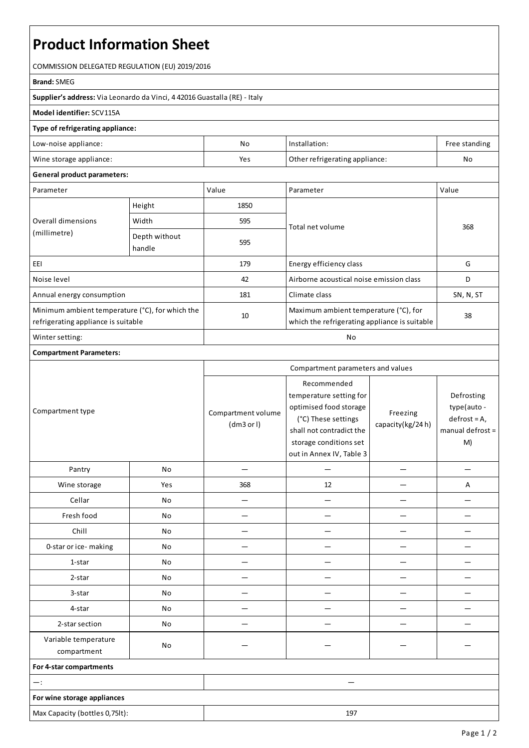# **Product Information Sheet**

COMMISSION DELEGATED REGULATION (EU) 2019/2016

#### **Brand:**SMEG

**Supplier's address:** ViaLeonardo da Vinci, 4 42016 Guastalla(RE) - Italy

### **Model identifier:**SCV115A

#### **Type of refrigerating appliance:**

| Low-noise appliance:    | Nc                                    | Installation: | Free standing |
|-------------------------|---------------------------------------|---------------|---------------|
| Wine storage appliance: | Other refrigerating appliance:<br>Yes |               | No            |

## **General product parameters:**

| Parameter                                                                              |                         | Value | Parameter                                                                              | Value     |
|----------------------------------------------------------------------------------------|-------------------------|-------|----------------------------------------------------------------------------------------|-----------|
| Overall dimensions<br>(millimetre)                                                     | Height                  | 1850  |                                                                                        | 368       |
|                                                                                        | Width                   | 595   | Total net volume                                                                       |           |
|                                                                                        | Depth without<br>handle | 595   |                                                                                        |           |
| EEI                                                                                    |                         | 179   | Energy efficiency class                                                                | G         |
| Noise level                                                                            |                         | 42    | Airborne acoustical noise emission class                                               | D         |
| Annual energy consumption                                                              |                         | 181   | Climate class                                                                          | SN, N, ST |
| Minimum ambient temperature (°C), for which the<br>refrigerating appliance is suitable |                         | 10    | Maximum ambient temperature (°C), for<br>which the refrigerating appliance is suitable | 38        |
| Winter setting:                                                                        |                         | No    |                                                                                        |           |

## **Compartment Parameters:**

|                                     |     | Compartment parameters and values |                                                                                                                                                                           |                              |                                                                        |
|-------------------------------------|-----|-----------------------------------|---------------------------------------------------------------------------------------------------------------------------------------------------------------------------|------------------------------|------------------------------------------------------------------------|
| Compartment type                    |     | Compartment volume<br>(dm3 or l)  | Recommended<br>temperature setting for<br>optimised food storage<br>(°C) These settings<br>shall not contradict the<br>storage conditions set<br>out in Annex IV, Table 3 | Freezing<br>capacity(kg/24h) | Defrosting<br>type(auto-<br>$defrost = A,$<br>manual defrost $=$<br>M) |
| Pantry                              | No  |                                   |                                                                                                                                                                           |                              |                                                                        |
| Wine storage                        | Yes | 368                               | 12                                                                                                                                                                        |                              | Α                                                                      |
| Cellar                              | No  |                                   |                                                                                                                                                                           |                              |                                                                        |
| Fresh food                          | No  |                                   |                                                                                                                                                                           |                              |                                                                        |
| Chill                               | No  |                                   |                                                                                                                                                                           |                              |                                                                        |
| 0-star or ice-making                | No  |                                   |                                                                                                                                                                           |                              |                                                                        |
| 1-star                              | No  |                                   |                                                                                                                                                                           |                              |                                                                        |
| 2-star<br>No                        |     |                                   |                                                                                                                                                                           |                              |                                                                        |
| 3-star                              | No  |                                   |                                                                                                                                                                           |                              |                                                                        |
| 4-star                              | No  |                                   |                                                                                                                                                                           |                              |                                                                        |
| 2-star section                      | No  |                                   |                                                                                                                                                                           |                              |                                                                        |
| Variable temperature<br>compartment | No  |                                   |                                                                                                                                                                           |                              |                                                                        |
| For 4-star compartments             |     |                                   |                                                                                                                                                                           |                              |                                                                        |
| $-$ :                               |     |                                   |                                                                                                                                                                           |                              |                                                                        |
| For wine storage appliances         |     |                                   |                                                                                                                                                                           |                              |                                                                        |
| Max Capacity (bottles 0,75lt):      |     |                                   | 197                                                                                                                                                                       |                              |                                                                        |